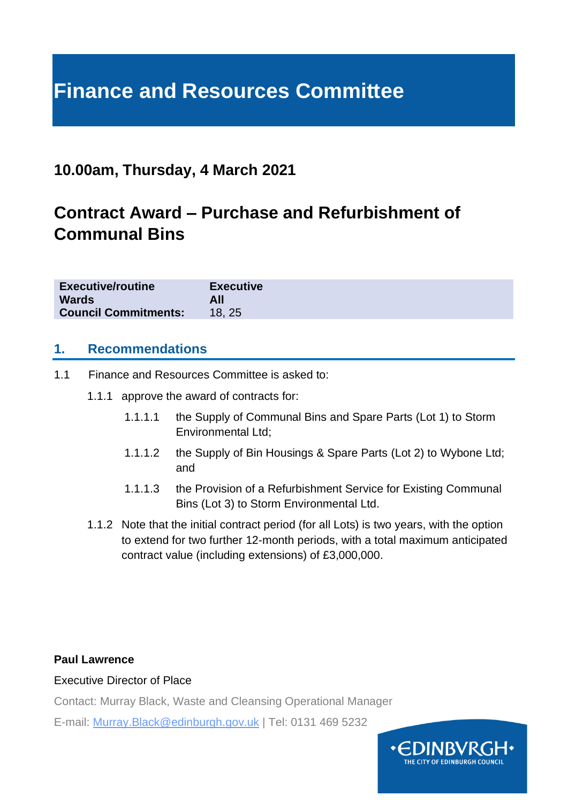# **Finance and Resources Committee**

## **10.00am, Thursday, 4 March 2021**

## **Contract Award – Purchase and Refurbishment of Communal Bins**

| <b>Executive/routine</b>    | <b>Executive</b> |
|-----------------------------|------------------|
| <b>Wards</b>                | All              |
| <b>Council Commitments:</b> | 18.25            |

#### **1. Recommendations**

- 1.1 Finance and Resources Committee is asked to:
	- 1.1.1 approve the award of contracts for:
		- 1.1.1.1 the Supply of Communal Bins and Spare Parts (Lot 1) to Storm Environmental Ltd;
		- 1.1.1.2 the Supply of Bin Housings & Spare Parts (Lot 2) to Wybone Ltd; and
		- 1.1.1.3 the Provision of a Refurbishment Service for Existing Communal Bins (Lot 3) to Storm Environmental Ltd.
	- 1.1.2 Note that the initial contract period (for all Lots) is two years, with the option to extend for two further 12-month periods, with a total maximum anticipated contract value (including extensions) of £3,000,000.

#### **Paul Lawrence**

#### Executive Director of Place

Contact: Murray Black, Waste and Cleansing Operational Manager

E-mail: Murray.Black@edinburgh.gov.uk | Tel: 0131 469 5232

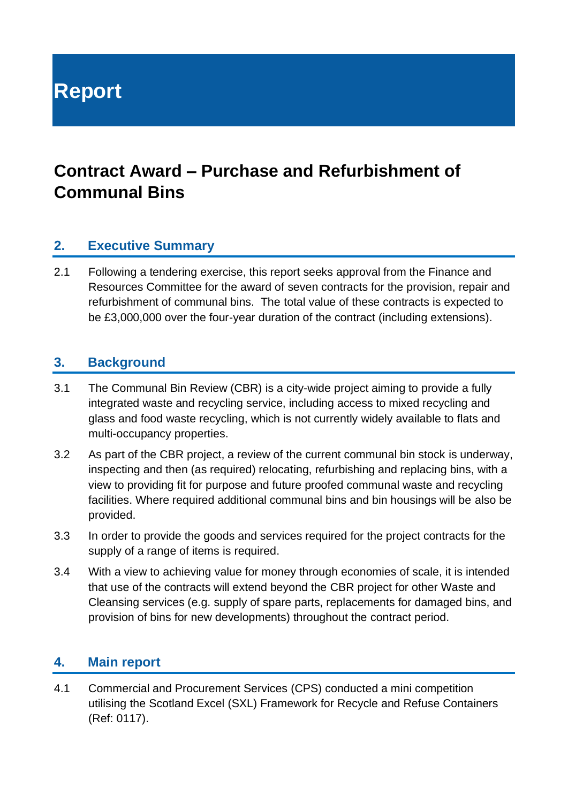**Report**

## **Contract Award – Purchase and Refurbishment of Communal Bins**

#### **2. Executive Summary**

2.1 Following a tendering exercise, this report seeks approval from the Finance and Resources Committee for the award of seven contracts for the provision, repair and refurbishment of communal bins. The total value of these contracts is expected to be £3,000,000 over the four-year duration of the contract (including extensions).

#### **3. Background**

- 3.1 The Communal Bin Review (CBR) is a city-wide project aiming to provide a fully integrated waste and recycling service, including access to mixed recycling and glass and food waste recycling, which is not currently widely available to flats and multi-occupancy properties.
- 3.2 As part of the CBR project, a review of the current communal bin stock is underway, inspecting and then (as required) relocating, refurbishing and replacing bins, with a view to providing fit for purpose and future proofed communal waste and recycling facilities. Where required additional communal bins and bin housings will be also be provided.
- 3.3 In order to provide the goods and services required for the project contracts for the supply of a range of items is required.
- 3.4 With a view to achieving value for money through economies of scale, it is intended that use of the contracts will extend beyond the CBR project for other Waste and Cleansing services (e.g. supply of spare parts, replacements for damaged bins, and provision of bins for new developments) throughout the contract period.

#### **4. Main report**

4.1 Commercial and Procurement Services (CPS) conducted a mini competition utilising the Scotland Excel (SXL) Framework for Recycle and Refuse Containers (Ref: 0117).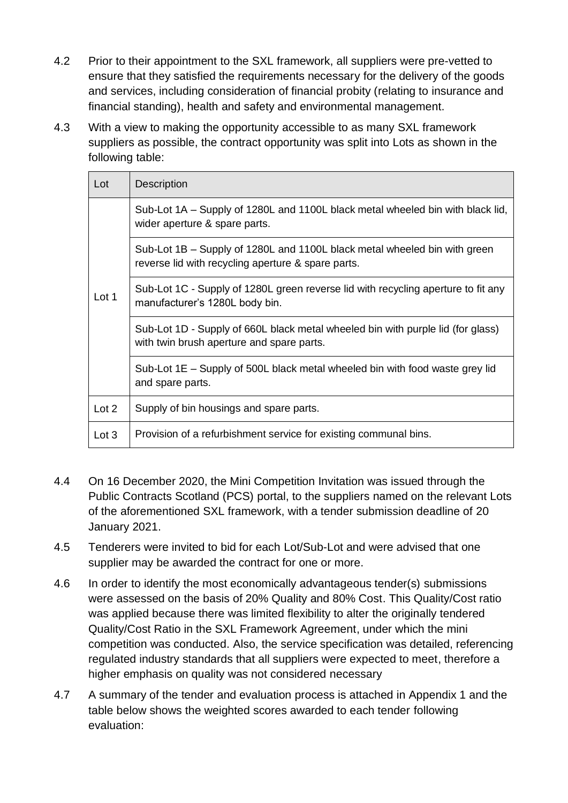- 4.2 Prior to their appointment to the SXL framework, all suppliers were pre-vetted to ensure that they satisfied the requirements necessary for the delivery of the goods and services, including consideration of financial probity (relating to insurance and financial standing), health and safety and environmental management.
- 4.3 With a view to making the opportunity accessible to as many SXL framework suppliers as possible, the contract opportunity was split into Lots as shown in the following table:

| Lot   | <b>Description</b>                                                                                                              |
|-------|---------------------------------------------------------------------------------------------------------------------------------|
| Lot 1 | Sub-Lot 1A – Supply of 1280L and 1100L black metal wheeled bin with black lid,<br>wider aperture & spare parts.                 |
|       | Sub-Lot 1B – Supply of 1280L and 1100L black metal wheeled bin with green<br>reverse lid with recycling aperture & spare parts. |
|       | Sub-Lot 1C - Supply of 1280L green reverse lid with recycling aperture to fit any<br>manufacturer's 1280L body bin.             |
|       | Sub-Lot 1D - Supply of 660L black metal wheeled bin with purple lid (for glass)<br>with twin brush aperture and spare parts.    |
|       | Sub-Lot 1E – Supply of 500L black metal wheeled bin with food waste grey lid<br>and spare parts.                                |
| Lot 2 | Supply of bin housings and spare parts.                                                                                         |
| Lot 3 | Provision of a refurbishment service for existing communal bins.                                                                |

- 4.4 On 16 December 2020, the Mini Competition Invitation was issued through the Public Contracts Scotland (PCS) portal, to the suppliers named on the relevant Lots of the aforementioned SXL framework, with a tender submission deadline of 20 January 2021.
- 4.5 Tenderers were invited to bid for each Lot/Sub-Lot and were advised that one supplier may be awarded the contract for one or more.
- 4.6 In order to identify the most economically advantageous tender(s) submissions were assessed on the basis of 20% Quality and 80% Cost. This Quality/Cost ratio was applied because there was limited flexibility to alter the originally tendered Quality/Cost Ratio in the SXL Framework Agreement, under which the mini competition was conducted. Also, the service specification was detailed, referencing regulated industry standards that all suppliers were expected to meet, therefore a higher emphasis on quality was not considered necessary
- 4.7 A summary of the tender and evaluation process is attached in Appendix 1 and the table below shows the weighted scores awarded to each tender following evaluation: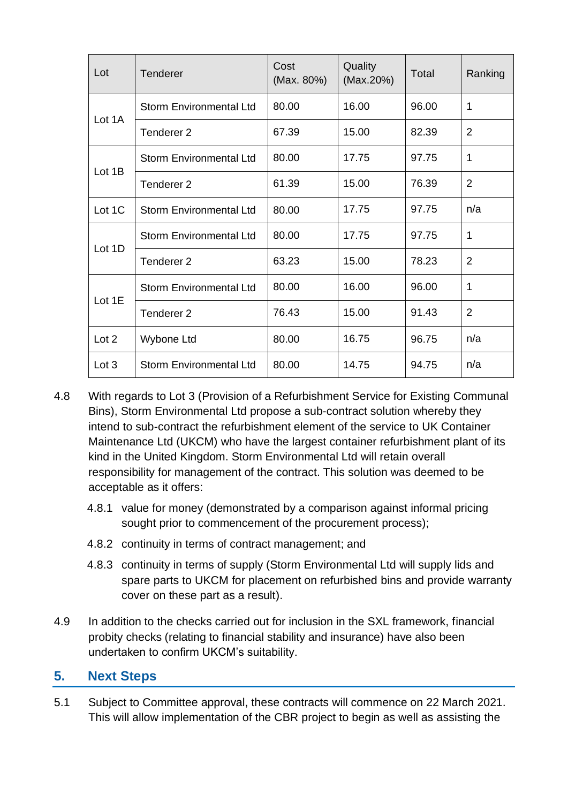| Lot    | <b>Tenderer</b>                | Cost<br>(Max. 80%) | Quality<br>(Max.20%) | Total | Ranking        |
|--------|--------------------------------|--------------------|----------------------|-------|----------------|
| Lot 1A | <b>Storm Environmental Ltd</b> | 80.00              | 16.00                | 96.00 | 1              |
|        | Tenderer <sub>2</sub>          | 67.39              | 15.00                | 82.39 | $\overline{2}$ |
| Lot 1B | <b>Storm Environmental Ltd</b> | 80.00              | 17.75                | 97.75 | 1              |
|        | Tenderer <sub>2</sub>          | 61.39              | 15.00                | 76.39 | $\overline{2}$ |
| Lot 1C | <b>Storm Environmental Ltd</b> | 80.00              | 17.75                | 97.75 | n/a            |
| Lot 1D | <b>Storm Environmental Ltd</b> | 80.00              | 17.75                | 97.75 | 1              |
|        | Tenderer <sub>2</sub>          | 63.23              | 15.00                | 78.23 | 2              |
| Lot 1E | <b>Storm Environmental Ltd</b> | 80.00              | 16.00                | 96.00 | 1              |
|        | Tenderer <sub>2</sub>          | 76.43              | 15.00                | 91.43 | 2              |
| Lot 2  | Wybone Ltd                     | 80.00              | 16.75                | 96.75 | n/a            |
| Lot 3  | <b>Storm Environmental Ltd</b> | 80.00              | 14.75                | 94.75 | n/a            |

- 4.8 With regards to Lot 3 (Provision of a Refurbishment Service for Existing Communal Bins), Storm Environmental Ltd propose a sub-contract solution whereby they intend to sub-contract the refurbishment element of the service to UK Container Maintenance Ltd (UKCM) who have the largest container refurbishment plant of its kind in the United Kingdom. Storm Environmental Ltd will retain overall responsibility for management of the contract. This solution was deemed to be acceptable as it offers:
	- 4.8.1 value for money (demonstrated by a comparison against informal pricing sought prior to commencement of the procurement process);
	- 4.8.2 continuity in terms of contract management; and
	- 4.8.3 continuity in terms of supply (Storm Environmental Ltd will supply lids and spare parts to UKCM for placement on refurbished bins and provide warranty cover on these part as a result).
- 4.9 In addition to the checks carried out for inclusion in the SXL framework, financial probity checks (relating to financial stability and insurance) have also been undertaken to confirm UKCM's suitability.

#### **5. Next Steps**

5.1 Subject to Committee approval, these contracts will commence on 22 March 2021. This will allow implementation of the CBR project to begin as well as assisting the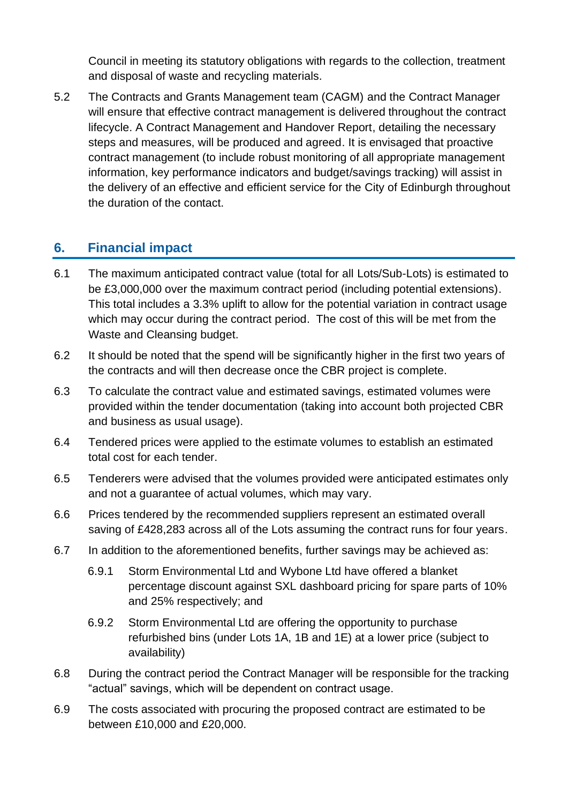Council in meeting its statutory obligations with regards to the collection, treatment and disposal of waste and recycling materials.

5.2 The Contracts and Grants Management team (CAGM) and the Contract Manager will ensure that effective contract management is delivered throughout the contract lifecycle. A Contract Management and Handover Report, detailing the necessary steps and measures, will be produced and agreed. It is envisaged that proactive contract management (to include robust monitoring of all appropriate management information, key performance indicators and budget/savings tracking) will assist in the delivery of an effective and efficient service for the City of Edinburgh throughout the duration of the contact.

#### **6. Financial impact**

- 6.1 The maximum anticipated contract value (total for all Lots/Sub-Lots) is estimated to be £3,000,000 over the maximum contract period (including potential extensions). This total includes a 3.3% uplift to allow for the potential variation in contract usage which may occur during the contract period. The cost of this will be met from the Waste and Cleansing budget.
- 6.2 It should be noted that the spend will be significantly higher in the first two years of the contracts and will then decrease once the CBR project is complete.
- 6.3 To calculate the contract value and estimated savings, estimated volumes were provided within the tender documentation (taking into account both projected CBR and business as usual usage).
- 6.4 Tendered prices were applied to the estimate volumes to establish an estimated total cost for each tender.
- 6.5 Tenderers were advised that the volumes provided were anticipated estimates only and not a guarantee of actual volumes, which may vary.
- 6.6 Prices tendered by the recommended suppliers represent an estimated overall saving of £428,283 across all of the Lots assuming the contract runs for four years.
- 6.7 In addition to the aforementioned benefits, further savings may be achieved as:
	- 6.9.1 Storm Environmental Ltd and Wybone Ltd have offered a blanket percentage discount against SXL dashboard pricing for spare parts of 10% and 25% respectively; and
	- 6.9.2 Storm Environmental Ltd are offering the opportunity to purchase refurbished bins (under Lots 1A, 1B and 1E) at a lower price (subject to availability)
- 6.8 During the contract period the Contract Manager will be responsible for the tracking "actual" savings, which will be dependent on contract usage.
- 6.9 The costs associated with procuring the proposed contract are estimated to be between £10,000 and £20,000.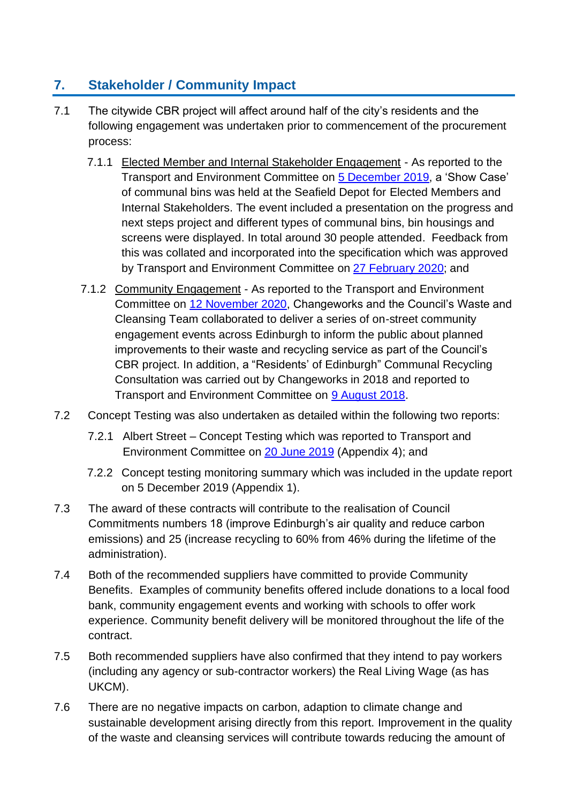### **7. Stakeholder / Community Impact**

- 7.1 The citywide CBR project will affect around half of the city's residents and the following engagement was undertaken prior to commencement of the procurement process:
	- 7.1.1 Elected Member and Internal Stakeholder Engagement As reported to the Transport and Environment Committee on [5 December 2019,](https://democracy.edinburgh.gov.uk/documents/s11595/7.6%20-%20Communal%20Bin%20Enhancement%20Update%20TE%20Dec%202019%20EM%20Final.pdf) a 'Show Case' of communal bins was held at the Seafield Depot for Elected Members and Internal Stakeholders. The event included a presentation on the progress and next steps project and different types of communal bins, bin housings and screens were displayed. In total around 30 people attended. Feedback from this was collated and incorporated into the specification which was approved by Transport and Environment Committee on [27 February 2020;](https://democracy.edinburgh.gov.uk/documents/s14507/Item%207.5%20-%20Communal%20Bin%20Enhancement.pdf) and
	- 7.1.2 Community Engagement As reported to the Transport and Environment Committee on [12 November 2020,](https://democracy.edinburgh.gov.uk/documents/s28757/6.1%20-%20Business%20Bulletin%2012%20November_Final.pdf) Changeworks and the Council's Waste and Cleansing Team collaborated to deliver a series of on-street community engagement events across Edinburgh to inform the public about planned improvements to their waste and recycling service as part of the Council's CBR project. In addition, a "Residents' of Edinburgh" Communal Recycling Consultation was carried out by Changeworks in 2018 and reported to Transport and Environment Committee on [9 August 2018.](https://democracy.edinburgh.gov.uk/Data/Transport%20and%20Environment%20Committee/20180809/Agenda/item_711_-_enhancing_communal_bin_collections_-_update_following_trial_to_implement_every_other_day_collec.pdf)
- 7.2 Concept Testing was also undertaken as detailed within the following two reports:
	- 7.2.1 Albert Street Concept Testing which was reported to Transport and Environment Committee on [20 June 2019](https://democracy.edinburgh.gov.uk/Data/Transport%20and%20Environment%20Committee/20190620/Agenda/item_711_-_communal_bin_enhancement_update.pdf) (Appendix 4); and
	- 7.2.2 Concept testing monitoring summary which was included in the update report on 5 December 2019 (Appendix 1).
- 7.3 The award of these contracts will contribute to the realisation of Council Commitments numbers 18 (improve Edinburgh's air quality and reduce carbon emissions) and 25 (increase recycling to 60% from 46% during the lifetime of the administration).
- 7.4 Both of the recommended suppliers have committed to provide Community Benefits. Examples of community benefits offered include donations to a local food bank, community engagement events and working with schools to offer work experience. Community benefit delivery will be monitored throughout the life of the contract.
- 7.5 Both recommended suppliers have also confirmed that they intend to pay workers (including any agency or sub-contractor workers) the Real Living Wage (as has UKCM).
- 7.6 There are no negative impacts on carbon, adaption to climate change and sustainable development arising directly from this report. Improvement in the quality of the waste and cleansing services will contribute towards reducing the amount of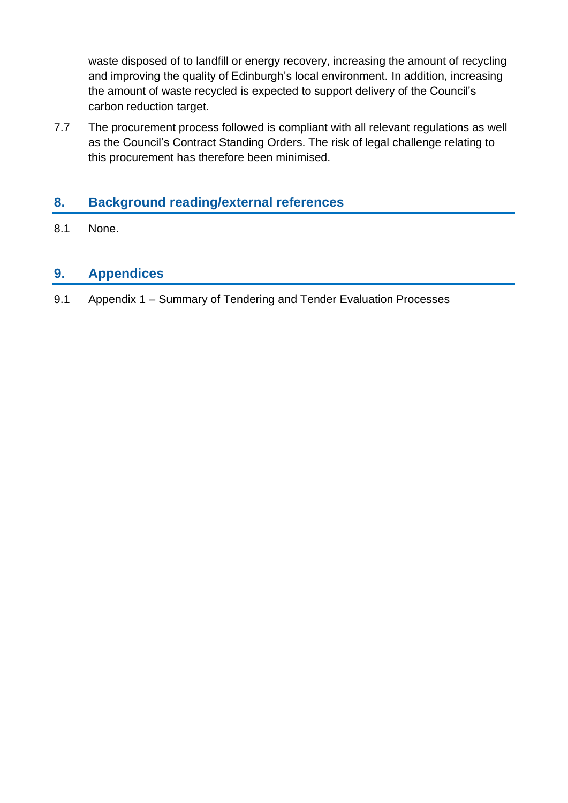waste disposed of to landfill or energy recovery, increasing the amount of recycling and improving the quality of Edinburgh's local environment. In addition, increasing the amount of waste recycled is expected to support delivery of the Council's carbon reduction target.

7.7 The procurement process followed is compliant with all relevant regulations as well as the Council's Contract Standing Orders. The risk of legal challenge relating to this procurement has therefore been minimised.

#### **8. Background reading/external references**

8.1 None.

#### **9. Appendices**

9.1 Appendix 1 – Summary of Tendering and Tender Evaluation Processes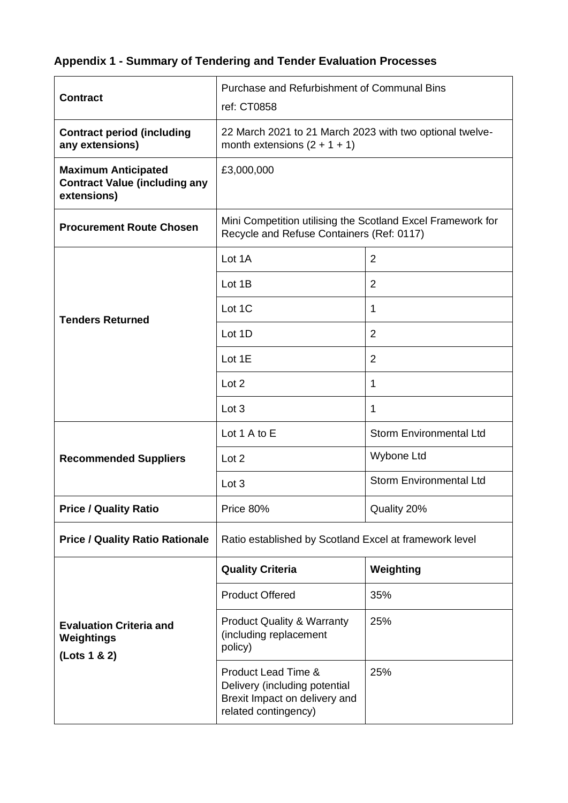## **Appendix 1 - Summary of Tendering and Tender Evaluation Processes**

| <b>Contract</b>                                                                   | Purchase and Refurbishment of Communal Bins<br>ref: CT0858                                                    |                                |  |  |
|-----------------------------------------------------------------------------------|---------------------------------------------------------------------------------------------------------------|--------------------------------|--|--|
| <b>Contract period (including</b><br>any extensions)                              | 22 March 2021 to 21 March 2023 with two optional twelve-<br>month extensions $(2 + 1 + 1)$                    |                                |  |  |
| <b>Maximum Anticipated</b><br><b>Contract Value (including any</b><br>extensions) | £3,000,000                                                                                                    |                                |  |  |
| <b>Procurement Route Chosen</b>                                                   | Mini Competition utilising the Scotland Excel Framework for<br>Recycle and Refuse Containers (Ref: 0117)      |                                |  |  |
|                                                                                   | Lot 1A                                                                                                        | $\overline{2}$                 |  |  |
|                                                                                   | Lot 1B                                                                                                        | $\overline{2}$                 |  |  |
| <b>Tenders Returned</b>                                                           | Lot 1C                                                                                                        | 1                              |  |  |
|                                                                                   | Lot 1D                                                                                                        | $\overline{2}$                 |  |  |
|                                                                                   | Lot 1E                                                                                                        | $\overline{2}$                 |  |  |
|                                                                                   | Lot 2                                                                                                         | 1                              |  |  |
|                                                                                   | Lot 3                                                                                                         | $\mathbf{1}$                   |  |  |
|                                                                                   | Lot 1 A to E                                                                                                  | <b>Storm Environmental Ltd</b> |  |  |
| <b>Recommended Suppliers</b>                                                      | Lot 2                                                                                                         | Wybone Ltd                     |  |  |
|                                                                                   | Lot 3                                                                                                         | <b>Storm Environmental Ltd</b> |  |  |
| <b>Price / Quality Ratio</b>                                                      | Price 80%                                                                                                     | Quality 20%                    |  |  |
| <b>Price / Quality Ratio Rationale</b>                                            | Ratio established by Scotland Excel at framework level                                                        |                                |  |  |
|                                                                                   | <b>Quality Criteria</b>                                                                                       | Weighting                      |  |  |
|                                                                                   | <b>Product Offered</b>                                                                                        | 35%                            |  |  |
| <b>Evaluation Criteria and</b><br>Weightings<br>(Lots 1 & 2)                      | <b>Product Quality &amp; Warranty</b><br>(including replacement<br>policy)                                    | 25%                            |  |  |
|                                                                                   | Product Lead Time &<br>Delivery (including potential<br>Brexit Impact on delivery and<br>related contingency) | 25%                            |  |  |